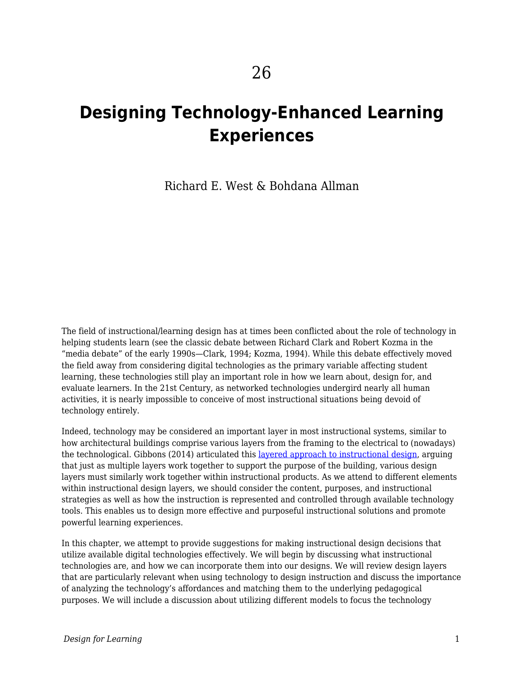# **Designing Technology-Enhanced Learning Experiences**

Richard E. West & Bohdana Allman

The field of instructional/learning design has at times been conflicted about the role of technology in helping students learn (see the classic debate between Richard Clark and Robert Kozma in the "media debate" of the early 1990s—Clark, 1994; Kozma, 1994). While this debate effectively moved the field away from considering digital technologies as the primary variable affecting student learning, these technologies still play an important role in how we learn about, design for, and evaluate learners. In the 21st Century, as networked technologies undergird nearly all human activities, it is nearly impossible to conceive of most instructional situations being devoid of technology entirely.

Indeed, technology may be considered an important layer in most instructional systems, similar to how architectural buildings comprise various layers from the framing to the electrical to (nowadays) the technological. Gibbons (2014) articulated this [layered approach to instructional design,](https://edtechbooks.org/studentguide/design_layers) arguing that just as multiple layers work together to support the purpose of the building, various design layers must similarly work together within instructional products. As we attend to different elements within instructional design layers, we should consider the content, purposes, and instructional strategies as well as how the instruction is represented and controlled through available technology tools. This enables us to design more effective and purposeful instructional solutions and promote powerful learning experiences.

In this chapter, we attempt to provide suggestions for making instructional design decisions that utilize available digital technologies effectively. We will begin by discussing what instructional technologies are, and how we can incorporate them into our designs. We will review design layers that are particularly relevant when using technology to design instruction and discuss the importance of analyzing the technology's affordances and matching them to the underlying pedagogical purposes. We will include a discussion about utilizing different models to focus the technology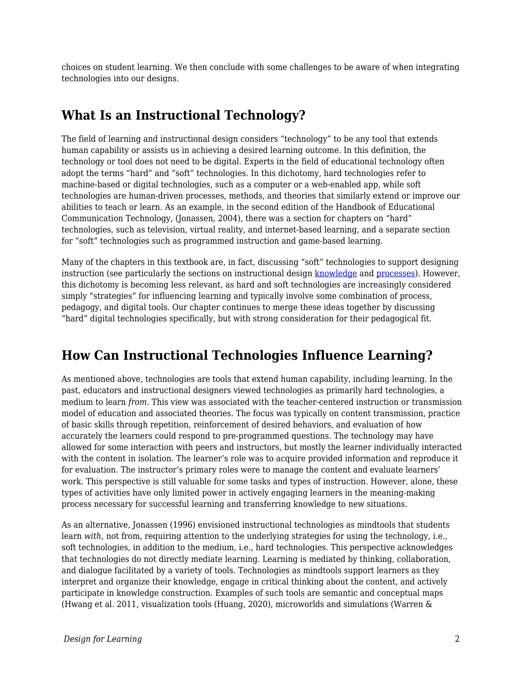choices on student learning. We then conclude with some challenges to be aware of when integrating technologies into our designs.

# **What Is an Instructional Technology?**

The field of learning and instructional design considers "technology" to be any tool that extends human capability or assists us in achieving a desired learning outcome. In this definition, the technology or tool does not need to be digital. Experts in the field of educational technology often adopt the terms "hard" and "soft" technologies. In this dichotomy, hard technologies refer to machine-based or digital technologies, such as a computer or a web-enabled app, while soft technologies are human-driven processes, methods, and theories that similarly extend or improve our abilities to teach or learn. As an example, in the second edition of the Handbook of Educational Communication Technology, (Jonassen, 2004), there was a section for chapters on "hard" technologies, such as television, virtual reality, and internet-based learning, and a separate section for "soft" technologies such as programmed instruction and game-based learning.

Many of the chapters in this textbook are, in fact, discussing "soft" technologies to support designing instruction (see particularly the sections on instructional design [knowledge](https://edtechbooks.org/id/instructional_design_knowledge) and [processes](https://edtechbooks.org/id/instructional_design)). However, this dichotomy is becoming less relevant, as hard and soft technologies are increasingly considered simply "strategies" for influencing learning and typically involve some combination of process, pedagogy, and digital tools. Our chapter continues to merge these ideas together by discussing "hard" digital technologies specifically, but with strong consideration for their pedagogical fit.

# **How Can Instructional Technologies Influence Learning?**

As mentioned above, technologies are tools that extend human capability, including learning. In the past, educators and instructional designers viewed technologies as primarily hard technologies, a medium to learn *from*. This view was associated with the teacher-centered instruction or transmission model of education and associated theories. The focus was typically on content transmission, practice of basic skills through repetition, reinforcement of desired behaviors, and evaluation of how accurately the learners could respond to pre-programmed questions. The technology may have allowed for some interaction with peers and instructors, but mostly the learner individually interacted with the content in isolation. The learner's role was to acquire provided information and reproduce it for evaluation. The instructor's primary roles were to manage the content and evaluate learners' work. This perspective is still valuable for some tasks and types of instruction. However, alone, these types of activities have only limited power in actively engaging learners in the meaning-making process necessary for successful learning and transferring knowledge to new situations.

As an alternative, Jonassen (1996) envisioned instructional technologies as mindtools that students learn *with*, not from, requiring attention to the underlying strategies for using the technology, i.e., soft technologies, in addition to the medium, i.e., hard technologies. This perspective acknowledges that technologies do not directly mediate learning. Learning is mediated by thinking, collaboration, and dialogue facilitated by a variety of tools. Technologies as mindtools support learners as they interpret and organize their knowledge, engage in critical thinking about the content, and actively participate in knowledge construction. Examples of such tools are semantic and conceptual maps (Hwang et al. 2011, visualization tools (Huang, 2020), microworlds and simulations (Warren &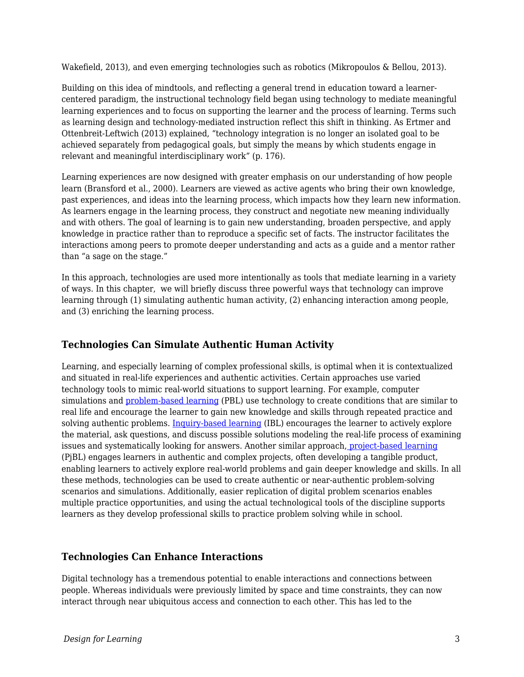Wakefield, 2013), and even emerging technologies such as robotics (Mikropoulos & Bellou, 2013).

Building on this idea of mindtools, and reflecting a general trend in education toward a learnercentered paradigm, the instructional technology field began using technology to mediate meaningful learning experiences and to focus on supporting the learner and the process of learning. Terms such as learning design and technology-mediated instruction reflect this shift in thinking. As Ertmer and Ottenbreit-Leftwich (2013) explained, "technology integration is no longer an isolated goal to be achieved separately from pedagogical goals, but simply the means by which students engage in relevant and meaningful interdisciplinary work" (p. 176).

Learning experiences are now designed with greater emphasis on our understanding of how people learn (Bransford et al., 2000). Learners are viewed as active agents who bring their own knowledge, past experiences, and ideas into the learning process, which impacts how they learn new information. As learners engage in the learning process, they construct and negotiate new meaning individually and with others. The goal of learning is to gain new understanding, broaden perspective, and apply knowledge in practice rather than to reproduce a specific set of facts. The instructor facilitates the interactions among peers to promote deeper understanding and acts as a guide and a mentor rather than "a sage on the stage."

In this approach, technologies are used more intentionally as tools that mediate learning in a variety of ways. In this chapter, we will briefly discuss three powerful ways that technology can improve learning through (1) simulating authentic human activity, (2) enhancing interaction among people, and (3) enriching the learning process.

#### **Technologies Can Simulate Authentic Human Activity**

Learning, and especially learning of complex professional skills, is optimal when it is contextualized and situated in real-life experiences and authentic activities. Certain approaches use varied technology tools to mimic real-world situations to support learning. For example, computer simulations and [problem-based learning](https://en.wikipedia.org/wiki/Problem-based_learning) (PBL) use technology to create conditions that are similar to real life and encourage the learner to gain new knowledge and skills through repeated practice and solving authentic problems. [Inquiry-based learning](https://elearningindustry.com/inquiry-based-learning-model) (IBL) encourages the learner to actively explore the material, ask questions, and discuss possible solutions modeling the real-life process of examining issues and systematically looking for answers. Another similar approach, [project-based learning](https://en.wikipedia.org/wiki/Project-based_learning) (PjBL) engages learners in authentic and complex projects, often developing a tangible product, enabling learners to actively explore real-world problems and gain deeper knowledge and skills. In all these methods, technologies can be used to create authentic or near-authentic problem-solving scenarios and simulations. Additionally, easier replication of digital problem scenarios enables multiple practice opportunities, and using the actual technological tools of the discipline supports learners as they develop professional skills to practice problem solving while in school.

#### **Technologies Can Enhance Interactions**

Digital technology has a tremendous potential to enable interactions and connections between people. Whereas individuals were previously limited by space and time constraints, they can now interact through near ubiquitous access and connection to each other. This has led to the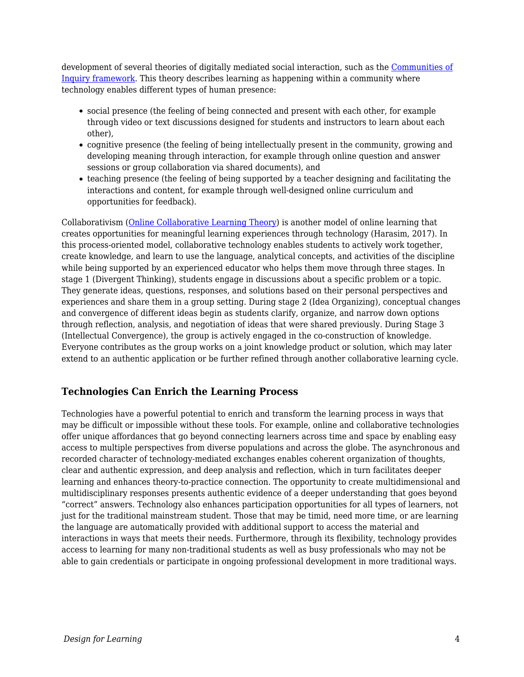development of several theories of digitally mediated social interaction, such as the [Communities of](https://coi.athabascau.ca/coi-model) [Inquiry framework.](https://coi.athabascau.ca/coi-model) This theory describes learning as happening within a community where technology enables different types of human presence:

- social presence (the feeling of being connected and present with each other, for example through video or text discussions designed for students and instructors to learn about each other),
- cognitive presence (the feeling of being intellectually present in the community, growing and developing meaning through interaction, for example through online question and answer sessions or group collaboration via shared documents), and
- teaching presence (the feeling of being supported by a teacher designing and facilitating the interactions and content, for example through well-designed online curriculum and opportunities for feedback).

Collaborativism [\(Online Collaborative Learning Theory](https://www.learning-theories.com/online-collaborative-learning-theory-harasim.html)) is another model of online learning that creates opportunities for meaningful learning experiences through technology (Harasim, 2017). In this process-oriented model, collaborative technology enables students to actively work together, create knowledge, and learn to use the language, analytical concepts, and activities of the discipline while being supported by an experienced educator who helps them move through three stages. In stage 1 (Divergent Thinking), students engage in discussions about a specific problem or a topic. They generate ideas, questions, responses, and solutions based on their personal perspectives and experiences and share them in a group setting. During stage 2 (Idea Organizing), conceptual changes and convergence of different ideas begin as students clarify, organize, and narrow down options through reflection, analysis, and negotiation of ideas that were shared previously. During Stage 3 (Intellectual Convergence), the group is actively engaged in the co-construction of knowledge. Everyone contributes as the group works on a joint knowledge product or solution, which may later extend to an authentic application or be further refined through another collaborative learning cycle.

#### **Technologies Can Enrich the Learning Process**

Technologies have a powerful potential to enrich and transform the learning process in ways that may be difficult or impossible without these tools. For example, online and collaborative technologies offer unique affordances that go beyond connecting learners across time and space by enabling easy access to multiple perspectives from diverse populations and across the globe. The asynchronous and recorded character of technology-mediated exchanges enables coherent organization of thoughts, clear and authentic expression, and deep analysis and reflection, which in turn facilitates deeper learning and enhances theory-to-practice connection. The opportunity to create multidimensional and multidisciplinary responses presents authentic evidence of a deeper understanding that goes beyond "correct" answers. Technology also enhances participation opportunities for all types of learners, not just for the traditional mainstream student. Those that may be timid, need more time, or are learning the language are automatically provided with additional support to access the material and interactions in ways that meets their needs. Furthermore, through its flexibility, technology provides access to learning for many non-traditional students as well as busy professionals who may not be able to gain credentials or participate in ongoing professional development in more traditional ways.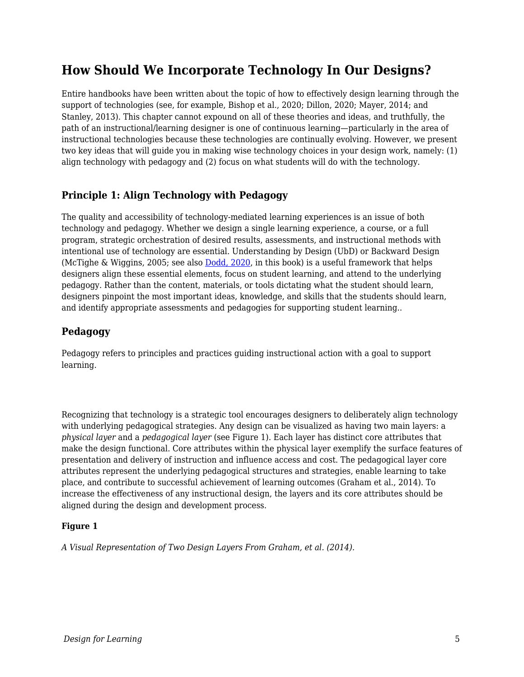# **How Should We Incorporate Technology In Our Designs?**

Entire handbooks have been written about the topic of how to effectively design learning through the support of technologies (see, for example, Bishop et al., 2020; Dillon, 2020; Mayer, 2014; and Stanley, 2013). This chapter cannot expound on all of these theories and ideas, and truthfully, the path of an instructional/learning designer is one of continuous learning—particularly in the area of instructional technologies because these technologies are continually evolving. However, we present two key ideas that will guide you in making wise technology choices in your design work, namely: (1) align technology with pedagogy and (2) focus on what students will do with the technology.

### **Principle 1: Align Technology with Pedagogy**

The quality and accessibility of technology-mediated learning experiences is an issue of both technology and pedagogy. Whether we design a single learning experience, a course, or a full program, strategic orchestration of desired results, assessments, and instructional methods with intentional use of technology are essential. Understanding by Design (UbD) or Backward Design (McTighe & Wiggins, 2005; see also [Dodd, 2020,](https://edtechbooks.org/id/curriculum_design_process) in this book) is a useful framework that helps designers align these essential elements, focus on student learning, and attend to the underlying pedagogy. Rather than the content, materials, or tools dictating what the student should learn, designers pinpoint the most important ideas, knowledge, and skills that the students should learn, and identify appropriate assessments and pedagogies for supporting student learning..

#### **Pedagogy**

Pedagogy refers to principles and practices guiding instructional action with a goal to support learning.

Recognizing that technology is a strategic tool encourages designers to deliberately align technology with underlying pedagogical strategies. Any design can be visualized as having two main layers: a *physical layer* and a *pedagogical layer* (see Figure 1). Each layer has distinct core attributes that make the design functional. Core attributes within the physical layer exemplify the surface features of presentation and delivery of instruction and influence access and cost. The pedagogical layer core attributes represent the underlying pedagogical structures and strategies, enable learning to take place, and contribute to successful achievement of learning outcomes (Graham et al., 2014). To increase the effectiveness of any instructional design, the layers and its core attributes should be aligned during the design and development process.

#### **Figure 1**

*A Visual Representation of Two Design Layers From Graham, et al. (2014).*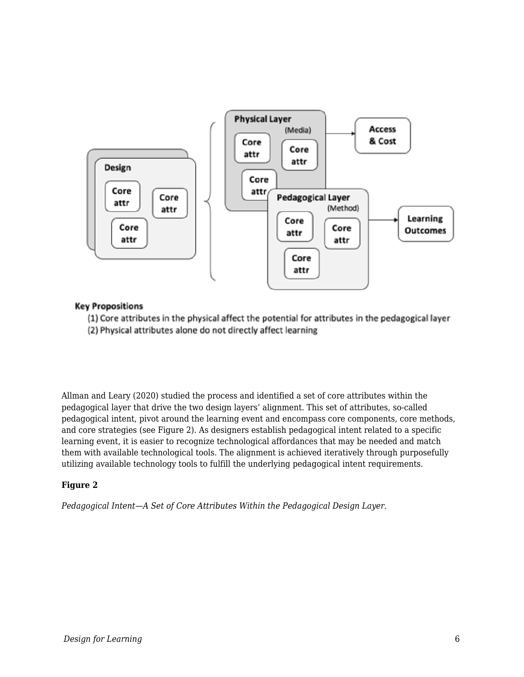

#### **Key Propositions**

(1) Core attributes in the physical affect the potential for attributes in the pedagogical layer (2) Physical attributes alone do not directly affect learning

Allman and Leary (2020) studied the process and identified a set of core attributes within the pedagogical layer that drive the two design layers' alignment. This set of attributes, so-called pedagogical intent, pivot around the learning event and encompass core components, core methods, and core strategies (see Figure 2). As designers establish pedagogical intent related to a specific learning event, it is easier to recognize technological affordances that may be needed and match them with available technological tools. The alignment is achieved iteratively through purposefully utilizing available technology tools to fulfill the underlying pedagogical intent requirements.

#### **Figure 2**

*Pedagogical Intent—A Set of Core Attributes Within the Pedagogical Design Layer.*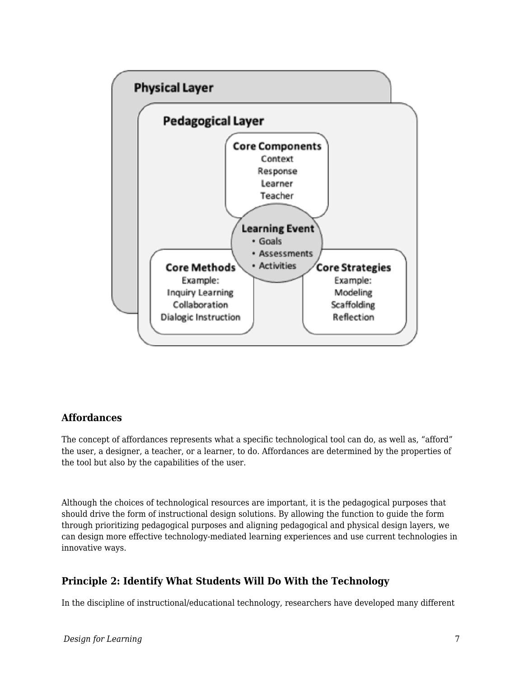

#### **Affordances**

The concept of affordances represents what a specific technological tool can do, as well as, "afford" the user, a designer, a teacher, or a learner, to do. Affordances are determined by the properties of the tool but also by the capabilities of the user.

Although the choices of technological resources are important, it is the pedagogical purposes that should drive the form of instructional design solutions. By allowing the function to guide the form through prioritizing pedagogical purposes and aligning pedagogical and physical design layers, we can design more effective technology-mediated learning experiences and use current technologies in innovative ways.

#### **Principle 2: Identify What Students Will Do With the Technology**

In the discipline of instructional/educational technology, researchers have developed many different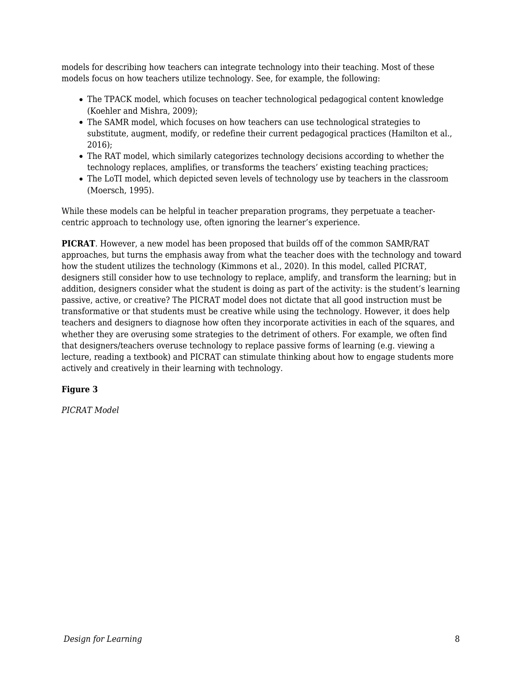models for describing how teachers can integrate technology into their teaching. Most of these models focus on how teachers utilize technology. See, for example, the following:

- The TPACK model, which focuses on teacher technological pedagogical content knowledge (Koehler and Mishra, 2009);
- The SAMR model, which focuses on how teachers can use technological strategies to substitute, augment, modify, or redefine their current pedagogical practices (Hamilton et al., 2016);
- The RAT model, which similarly categorizes technology decisions according to whether the technology replaces, amplifies, or transforms the teachers' existing teaching practices;
- The LoTI model, which depicted seven levels of technology use by teachers in the classroom (Moersch, 1995).

While these models can be helpful in teacher preparation programs, they perpetuate a teachercentric approach to technology use, often ignoring the learner's experience.

**PICRAT**. However, a new model has been proposed that builds off of the common SAMR/RAT approaches, but turns the emphasis away from what the teacher does with the technology and toward how the student utilizes the technology (Kimmons et al., 2020). In this model, called PICRAT, designers still consider how to use technology to replace, amplify, and transform the learning; but in addition, designers consider what the student is doing as part of the activity: is the student's learning passive, active, or creative? The PICRAT model does not dictate that all good instruction must be transformative or that students must be creative while using the technology. However, it does help teachers and designers to diagnose how often they incorporate activities in each of the squares, and whether they are overusing some strategies to the detriment of others. For example, we often find that designers/teachers overuse technology to replace passive forms of learning (e.g. viewing a lecture, reading a textbook) and PICRAT can stimulate thinking about how to engage students more actively and creatively in their learning with technology.

#### **Figure 3**

*PICRAT Model*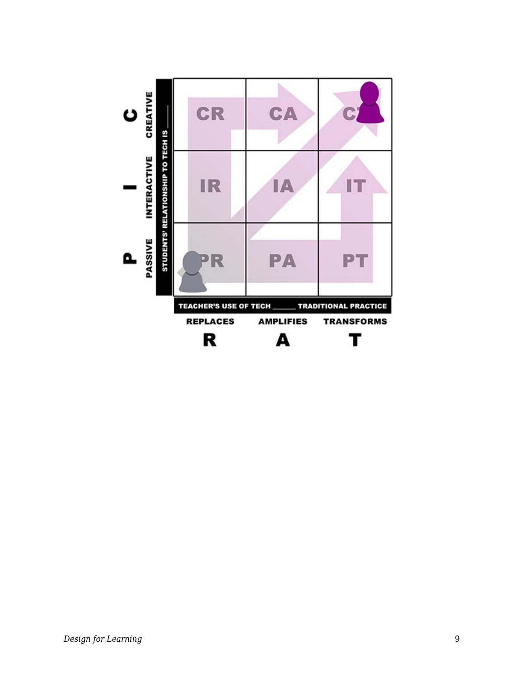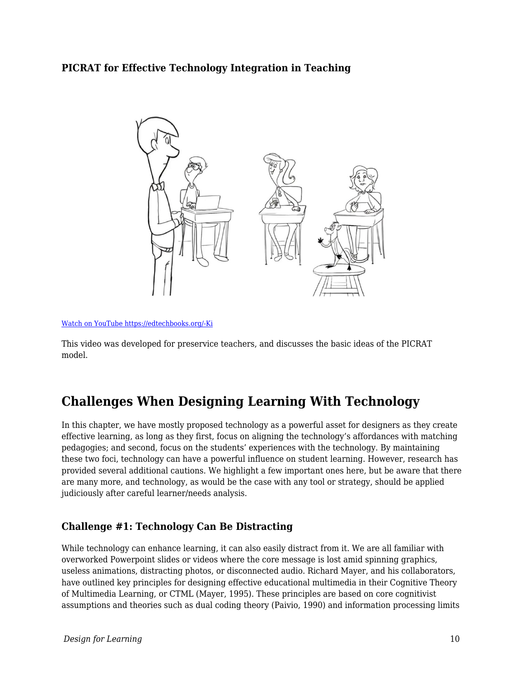#### **PICRAT for Effective Technology Integration in Teaching**



```
Watch on YouTube https://edtechbooks.org/-Ki
```
This video was developed for preservice teachers, and discusses the basic ideas of the PICRAT model.

### **Challenges When Designing Learning With Technology**

In this chapter, we have mostly proposed technology as a powerful asset for designers as they create effective learning, as long as they first, focus on aligning the technology's affordances with matching pedagogies; and second, focus on the students' experiences with the technology. By maintaining these two foci, technology can have a powerful influence on student learning. However, research has provided several additional cautions. We highlight a few important ones here, but be aware that there are many more, and technology, as would be the case with any tool or strategy, should be applied judiciously after careful learner/needs analysis.

### **Challenge #1: Technology Can Be Distracting**

While technology can enhance learning, it can also easily distract from it. We are all familiar with overworked Powerpoint slides or videos where the core message is lost amid spinning graphics, useless animations, distracting photos, or disconnected audio. Richard Mayer, and his collaborators, have outlined key principles for designing effective educational multimedia in their Cognitive Theory of Multimedia Learning, or CTML (Mayer, 1995). These principles are based on core cognitivist assumptions and theories such as dual coding theory (Paivio, 1990) and information processing limits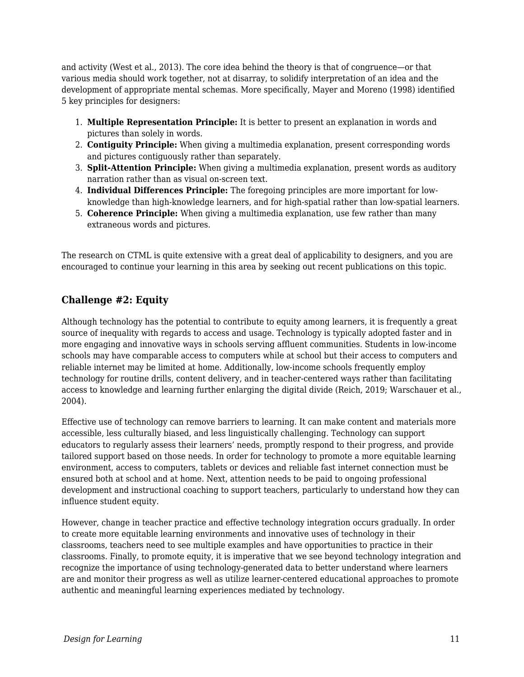and activity (West et al., 2013). The core idea behind the theory is that of congruence—or that various media should work together, not at disarray, to solidify interpretation of an idea and the development of appropriate mental schemas. More specifically, Mayer and Moreno (1998) identified 5 key principles for designers:

- 1. **Multiple Representation Principle:** It is better to present an explanation in words and pictures than solely in words.
- 2. **Contiguity Principle:** When giving a multimedia explanation, present corresponding words and pictures contiguously rather than separately.
- 3. **Split-Attention Principle:** When giving a multimedia explanation, present words as auditory narration rather than as visual on-screen text.
- 4. **Individual Differences Principle:** The foregoing principles are more important for lowknowledge than high-knowledge learners, and for high-spatial rather than low-spatial learners.
- 5. **Coherence Principle:** When giving a multimedia explanation, use few rather than many extraneous words and pictures.

The research on CTML is quite extensive with a great deal of applicability to designers, and you are encouraged to continue your learning in this area by seeking out recent publications on this topic.

### **Challenge #2: Equity**

Although technology has the potential to contribute to equity among learners, it is frequently a great source of inequality with regards to access and usage. Technology is typically adopted faster and in more engaging and innovative ways in schools serving affluent communities. Students in low-income schools may have comparable access to computers while at school but their access to computers and reliable internet may be limited at home. Additionally, low-income schools frequently employ technology for routine drills, content delivery, and in teacher-centered ways rather than facilitating access to knowledge and learning further enlarging the digital divide (Reich, 2019; Warschauer et al., 2004).

Effective use of technology can remove barriers to learning. It can make content and materials more accessible, less culturally biased, and less linguistically challenging. Technology can support educators to regularly assess their learners' needs, promptly respond to their progress, and provide tailored support based on those needs. In order for technology to promote a more equitable learning environment, access to computers, tablets or devices and reliable fast internet connection must be ensured both at school and at home. Next, attention needs to be paid to ongoing professional development and instructional coaching to support teachers, particularly to understand how they can influence student equity.

However, change in teacher practice and effective technology integration occurs gradually. In order to create more equitable learning environments and innovative uses of technology in their classrooms, teachers need to see multiple examples and have opportunities to practice in their classrooms. Finally, to promote equity, it is imperative that we see beyond technology integration and recognize the importance of using technology-generated data to better understand where learners are and monitor their progress as well as utilize learner-centered educational approaches to promote authentic and meaningful learning experiences mediated by technology.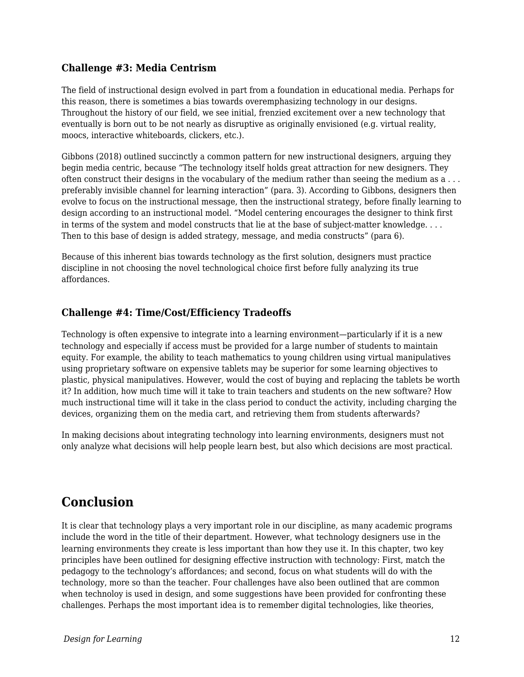#### **Challenge #3: Media Centrism**

The field of instructional design evolved in part from a foundation in educational media. Perhaps for this reason, there is sometimes a bias towards overemphasizing technology in our designs. Throughout the history of our field, we see initial, frenzied excitement over a new technology that eventually is born out to be not nearly as disruptive as originally envisioned (e.g. virtual reality, moocs, interactive whiteboards, clickers, etc.).

Gibbons (2018) outlined succinctly a common pattern for new instructional designers, arguing they begin media centric, because "The technology itself holds great attraction for new designers. They often construct their designs in the vocabulary of the medium rather than seeing the medium as a . . . preferably invisible channel for learning interaction" (para. 3). According to Gibbons, designers then evolve to focus on the instructional message, then the instructional strategy, before finally learning to design according to an instructional model. "Model centering encourages the designer to think first in terms of the system and model constructs that lie at the base of subject-matter knowledge. . . . Then to this base of design is added strategy, message, and media constructs" (para 6).

Because of this inherent bias towards technology as the first solution, designers must practice discipline in not choosing the novel technological choice first before fully analyzing its true affordances.

#### **Challenge #4: Time/Cost/Efficiency Tradeoffs**

Technology is often expensive to integrate into a learning environment—particularly if it is a new technology and especially if access must be provided for a large number of students to maintain equity. For example, the ability to teach mathematics to young children using virtual manipulatives using proprietary software on expensive tablets may be superior for some learning objectives to plastic, physical manipulatives. However, would the cost of buying and replacing the tablets be worth it? In addition, how much time will it take to train teachers and students on the new software? How much instructional time will it take in the class period to conduct the activity, including charging the devices, organizing them on the media cart, and retrieving them from students afterwards?

In making decisions about integrating technology into learning environments, designers must not only analyze what decisions will help people learn best, but also which decisions are most practical.

### **Conclusion**

It is clear that technology plays a very important role in our discipline, as many academic programs include the word in the title of their department. However, what technology designers use in the learning environments they create is less important than how they use it. In this chapter, two key principles have been outlined for designing effective instruction with technology: First, match the pedagogy to the technology's affordances; and second, focus on what students will do with the technology, more so than the teacher. Four challenges have also been outlined that are common when technoloy is used in design, and some suggestions have been provided for confronting these challenges. Perhaps the most important idea is to remember digital technologies, like theories,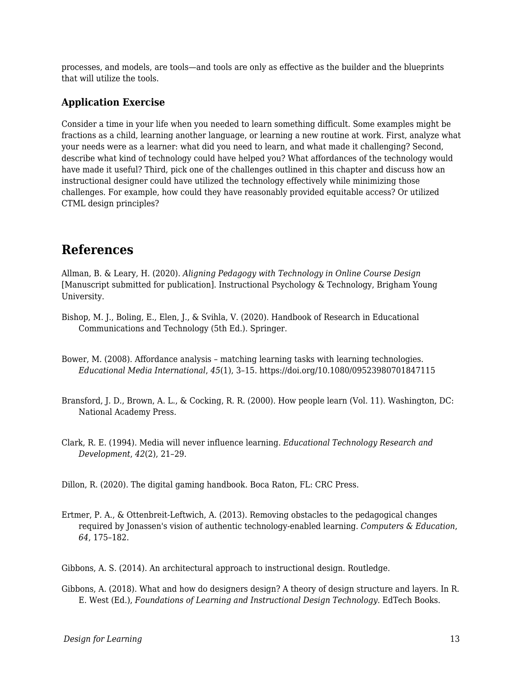processes, and models, are tools—and tools are only as effective as the builder and the blueprints that will utilize the tools.

#### **Application Exercise**

Consider a time in your life when you needed to learn something difficult. Some examples might be fractions as a child, learning another language, or learning a new routine at work. First, analyze what your needs were as a learner: what did you need to learn, and what made it challenging? Second, describe what kind of technology could have helped you? What affordances of the technology would have made it useful? Third, pick one of the challenges outlined in this chapter and discuss how an instructional designer could have utilized the technology effectively while minimizing those challenges. For example, how could they have reasonably provided equitable access? Or utilized CTML design principles?

### **References**

Allman, B. & Leary, H. (2020). *Aligning Pedagogy with Technology in Online Course Design* [Manuscript submitted for publication]. Instructional Psychology & Technology, Brigham Young University.

- Bishop, M. J., Boling, E., Elen, J., & Svihla, V. (2020). Handbook of Research in Educational Communications and Technology (5th Ed.). Springer.
- Bower, M. (2008). Affordance analysis matching learning tasks with learning technologies. *Educational Media International*, *45*(1), 3–15. https://doi.org/10.1080/09523980701847115
- Bransford, J. D., Brown, A. L., & Cocking, R. R. (2000). How people learn (Vol. 11). Washington, DC: National Academy Press.
- Clark, R. E. (1994). Media will never influence learning. *Educational Technology Research and Development*, *42*(2), 21–29.

Dillon, R. (2020). The digital gaming handbook. Boca Raton, FL: CRC Press.

Ertmer, P. A., & Ottenbreit-Leftwich, A. (2013). Removing obstacles to the pedagogical changes required by Jonassen's vision of authentic technology-enabled learning. *Computers & Education*, *64*, 175–182.

Gibbons, A. S. (2014). An architectural approach to instructional design. Routledge.

Gibbons, A. (2018). What and how do designers design? A theory of design structure and layers. In R. E. West (Ed.), *Foundations of Learning and Instructional Design Technology*. EdTech Books.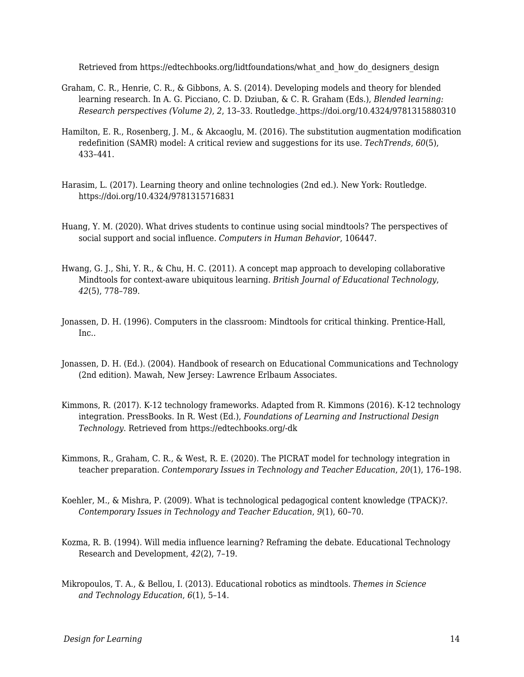Retrieved from https://edtechbooks.org/lidtfoundations/what\_and\_how\_do\_designers\_design

- Graham, C. R., Henrie, C. R., & Gibbons, A. S. (2014). Developing models and theory for blended learning research. In A. G. Picciano, C. D. Dziuban, & C. R. Graham (Eds.), *Blended learning: Research perspectives (Volume 2)*, *2*, 13–33. Routledge. [h](https://doi.org/10.4324/9781315880310)ttps://doi.org/10.4324/9781315880310
- Hamilton, E. R., Rosenberg, J. M., & Akcaoglu, M. (2016). The substitution augmentation modification redefinition (SAMR) model: A critical review and suggestions for its use. *TechTrends*, *60*(5), 433–441.
- Harasim, L. (2017). Learning theory and online technologies (2nd ed.). New York: Routledge. https://doi.org/10.4324/9781315716831
- Huang, Y. M. (2020). What drives students to continue using social mindtools? The perspectives of social support and social influence. *Computers in Human Behavior*, 106447.
- Hwang, G. J., Shi, Y. R., & Chu, H. C. (2011). A concept map approach to developing collaborative Mindtools for context‐aware ubiquitous learning. *British Journal of Educational Technology*, *42*(5), 778–789.
- Jonassen, D. H. (1996). Computers in the classroom: Mindtools for critical thinking. Prentice-Hall, Inc..
- Jonassen, D. H. (Ed.). (2004). Handbook of research on Educational Communications and Technology (2nd edition). Mawah, New Jersey: Lawrence Erlbaum Associates.
- Kimmons, R. (2017). K-12 technology frameworks. Adapted from R. Kimmons (2016). K-12 technology integration. PressBooks. In R. West (Ed.), *Foundations of Learning and Instructional Design Technology*. Retrieved from https://edtechbooks.org/-dk
- Kimmons, R., Graham, C. R., & West, R. E. (2020). The PICRAT model for technology integration in teacher preparation. *Contemporary Issues in Technology and Teacher Education*, *20*(1), 176–198.
- Koehler, M., & Mishra, P. (2009). What is technological pedagogical content knowledge (TPACK)?. *Contemporary Issues in Technology and Teacher Education*, *9*(1), 60–70.
- Kozma, R. B. (1994). Will media influence learning? Reframing the debate. Educational Technology Research and Development, *42*(2), 7–19.
- Mikropoulos, T. A., & Bellou, I. (2013). Educational robotics as mindtools. *Themes in Science and Technology Education*, *6*(1), 5–14.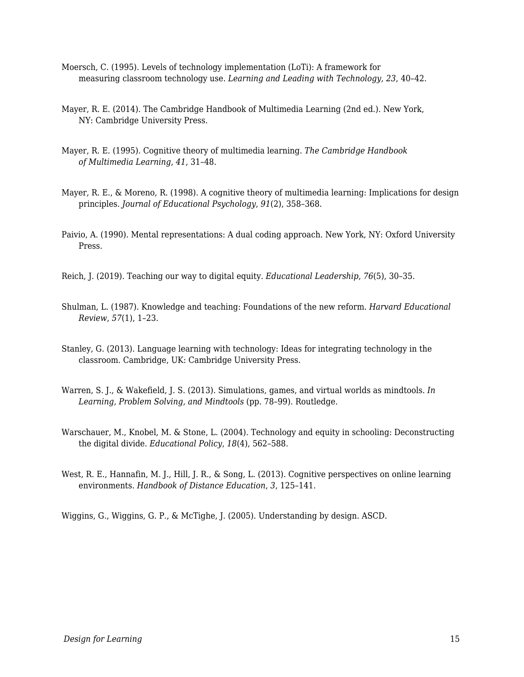- Moersch, C. (1995). Levels of technology implementation (LoTi): A framework for measuring classroom technology use. *Learning and Leading with Technology*, *23*, 40–42.
- Mayer, R. E. (2014). The Cambridge Handbook of Multimedia Learning (2nd ed.). New York, NY: Cambridge University Press.
- Mayer, R. E. (1995). Cognitive theory of multimedia learning. *The Cambridge Handbook of Multimedia Learning*, *41*, 31–48.
- Mayer, R. E., & Moreno, R. (1998). A cognitive theory of multimedia learning: Implications for design principles. *Journal of Educational Psychology*, *91*(2), 358–368.
- Paivio, A. (1990). Mental representations: A dual coding approach. New York, NY: Oxford University Press.

Reich, J. (2019). Teaching our way to digital equity. *Educational Leadership*, *76*(5), 30–35.

- Shulman, L. (1987). Knowledge and teaching: Foundations of the new reform. *Harvard Educational Review*, *57*(1), 1–23.
- Stanley, G. (2013). Language learning with technology: Ideas for integrating technology in the classroom. Cambridge, UK: Cambridge University Press.
- Warren, S. J., & Wakefield, J. S. (2013). Simulations, games, and virtual worlds as mindtools. *In Learning, Problem Solving, and Mindtools* (pp. 78–99). Routledge.
- Warschauer, M., Knobel, M. & Stone, L. (2004). Technology and equity in schooling: Deconstructing the digital divide. *Educational Policy*, *18*(4), 562–588.
- West, R. E., Hannafin, M. J., Hill, J. R., & Song, L. (2013). Cognitive perspectives on online learning environments. *Handbook of Distance Education*, *3*, 125–141.

Wiggins, G., Wiggins, G. P., & McTighe, J. (2005). Understanding by design. ASCD.